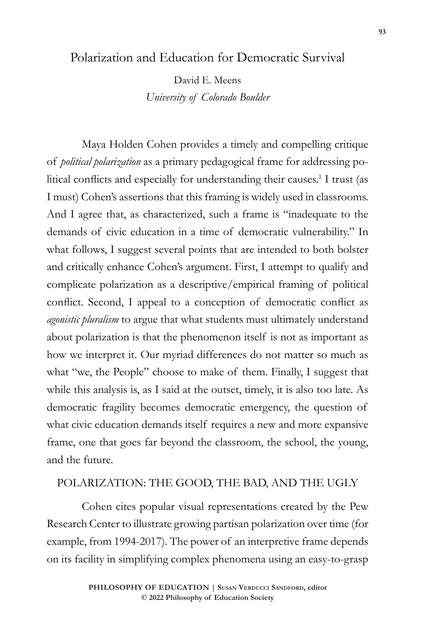## Polarization and Education for Democratic Survival

David E. Meens *University of Colorado Boulder*

Maya Holden Cohen provides a timely and compelling critique of *political polarization* as a primary pedagogical frame for addressing political conflicts and especially for understanding their causes.<sup>1</sup> I trust (as I must) Cohen's assertions that this framing is widely used in classrooms. And I agree that, as characterized, such a frame is "inadequate to the demands of civic education in a time of democratic vulnerability." In what follows, I suggest several points that are intended to both bolster and critically enhance Cohen's argument. First, I attempt to qualify and complicate polarization as a descriptive/empirical framing of political conflict. Second, I appeal to a conception of democratic conflict as *agonistic pluralism* to argue that what students must ultimately understand about polarization is that the phenomenon itself is not as important as how we interpret it. Our myriad differences do not matter so much as what "we, the People" choose to make of them. Finally, I suggest that while this analysis is, as I said at the outset, timely, it is also too late. As democratic fragility becomes democratic emergency, the question of what civic education demands itself requires a new and more expansive frame, one that goes far beyond the classroom, the school, the young, and the future.

## POLARIZATION: THE GOOD, THE BAD, AND THE UGLY

Cohen cites popular visual representations created by the Pew Research Center to illustrate growing partisan polarization over time (for example, from 1994-2017). The power of an interpretive frame depends on its facility in simplifying complex phenomena using an easy-to-grasp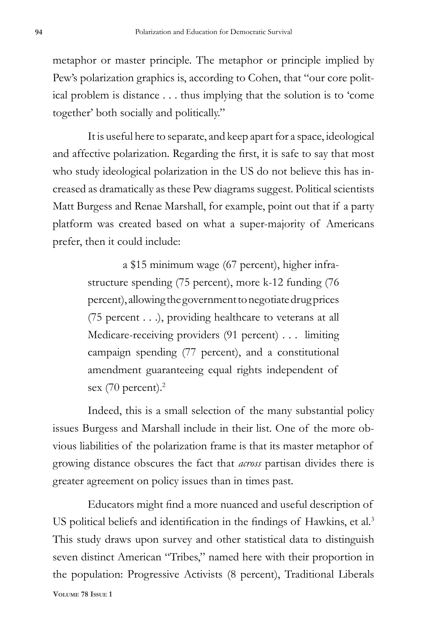metaphor or master principle. The metaphor or principle implied by Pew's polarization graphics is, according to Cohen, that "our core political problem is distance . . . thus implying that the solution is to 'come together' both socially and politically."

It is useful here to separate, and keep apart for a space, ideological and affective polarization. Regarding the first, it is safe to say that most who study ideological polarization in the US do not believe this has increased as dramatically as these Pew diagrams suggest. Political scientists Matt Burgess and Renae Marshall, for example, point out that if a party platform was created based on what a super-majority of Americans prefer, then it could include:

> a \$15 minimum wage (67 percent), higher infrastructure spending (75 percent), more k-12 funding (76 percent), allowing the government to negotiate drug prices (75 percent . . .), providing healthcare to veterans at all Medicare-receiving providers (91 percent) . . . limiting campaign spending (77 percent), and a constitutional amendment guaranteeing equal rights independent of sex (70 percent).<sup>2</sup>

Indeed, this is a small selection of the many substantial policy issues Burgess and Marshall include in their list. One of the more obvious liabilities of the polarization frame is that its master metaphor of growing distance obscures the fact that *across* partisan divides there is greater agreement on policy issues than in times past.

**Volume 78 Issue 1** Educators might find a more nuanced and useful description of US political beliefs and identification in the findings of Hawkins, et al.<sup>3</sup> This study draws upon survey and other statistical data to distinguish seven distinct American "Tribes," named here with their proportion in the population: Progressive Activists (8 percent), Traditional Liberals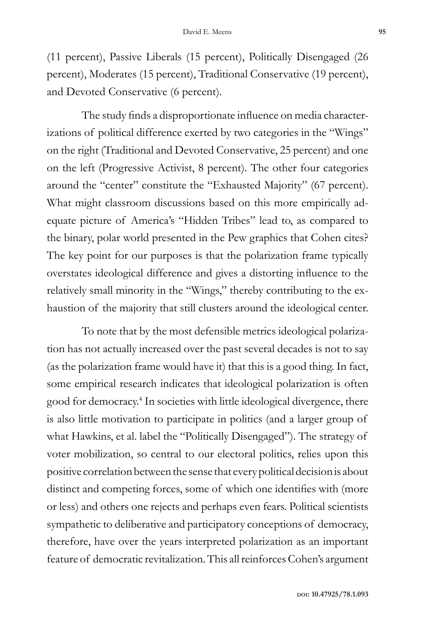(11 percent), Passive Liberals (15 percent), Politically Disengaged (26 percent), Moderates (15 percent), Traditional Conservative (19 percent), and Devoted Conservative (6 percent).

The study finds a disproportionate influence on media characterizations of political difference exerted by two categories in the "Wings" on the right (Traditional and Devoted Conservative, 25 percent) and one on the left (Progressive Activist, 8 percent). The other four categories around the "center" constitute the "Exhausted Majority" (67 percent). What might classroom discussions based on this more empirically adequate picture of America's "Hidden Tribes" lead to, as compared to the binary, polar world presented in the Pew graphics that Cohen cites? The key point for our purposes is that the polarization frame typically overstates ideological difference and gives a distorting influence to the relatively small minority in the "Wings," thereby contributing to the exhaustion of the majority that still clusters around the ideological center.

To note that by the most defensible metrics ideological polarization has not actually increased over the past several decades is not to say (as the polarization frame would have it) that this is a good thing. In fact, some empirical research indicates that ideological polarization is often good for democracy.<sup>4</sup> In societies with little ideological divergence, there is also little motivation to participate in politics (and a larger group of what Hawkins, et al. label the "Politically Disengaged"). The strategy of voter mobilization, so central to our electoral politics, relies upon this positive correlation between the sense that every political decision is about distinct and competing forces, some of which one identifies with (more or less) and others one rejects and perhaps even fears. Political scientists sympathetic to deliberative and participatory conceptions of democracy, therefore, have over the years interpreted polarization as an important feature of democratic revitalization. This all reinforces Cohen's argument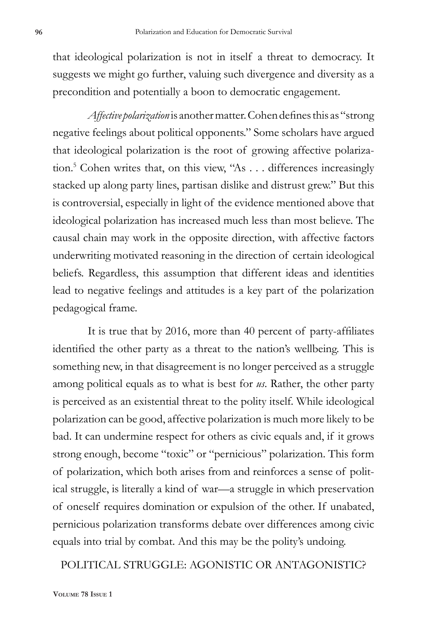that ideological polarization is not in itself a threat to democracy. It suggests we might go further, valuing such divergence and diversity as a precondition and potentially a boon to democratic engagement.

*Affective polarization* is another matter. Cohen defines this as "strong negative feelings about political opponents." Some scholars have argued that ideological polarization is the root of growing affective polarization.5 Cohen writes that, on this view, "As . . . differences increasingly stacked up along party lines, partisan dislike and distrust grew." But this is controversial, especially in light of the evidence mentioned above that ideological polarization has increased much less than most believe. The causal chain may work in the opposite direction, with affective factors underwriting motivated reasoning in the direction of certain ideological beliefs. Regardless, this assumption that different ideas and identities lead to negative feelings and attitudes is a key part of the polarization pedagogical frame.

It is true that by 2016, more than 40 percent of party-affiliates identified the other party as a threat to the nation's wellbeing. This is something new, in that disagreement is no longer perceived as a struggle among political equals as to what is best for *us*. Rather, the other party is perceived as an existential threat to the polity itself. While ideological polarization can be good, affective polarization is much more likely to be bad. It can undermine respect for others as civic equals and, if it grows strong enough, become "toxic" or "pernicious" polarization. This form of polarization, which both arises from and reinforces a sense of political struggle, is literally a kind of war—a struggle in which preservation of oneself requires domination or expulsion of the other. If unabated, pernicious polarization transforms debate over differences among civic equals into trial by combat. And this may be the polity's undoing.

POLITICAL STRUGGLE: AGONISTIC OR ANTAGONISTIC?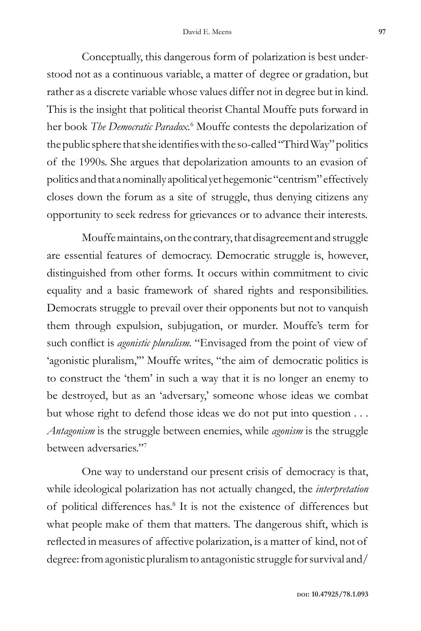Conceptually, this dangerous form of polarization is best understood not as a continuous variable, a matter of degree or gradation, but rather as a discrete variable whose values differ not in degree but in kind. This is the insight that political theorist Chantal Mouffe puts forward in her book *The Democratic Paradox.*<sup>6</sup> Mouffe contests the depolarization of the public sphere that she identifies with the so-called "Third Way" politics of the 1990s. She argues that depolarization amounts to an evasion of politics and that a nominally apolitical yet hegemonic "centrism" effectively closes down the forum as a site of struggle, thus denying citizens any opportunity to seek redress for grievances or to advance their interests.

Mouffe maintains, on the contrary, that disagreement and struggle are essential features of democracy. Democratic struggle is, however, distinguished from other forms. It occurs within commitment to civic equality and a basic framework of shared rights and responsibilities. Democrats struggle to prevail over their opponents but not to vanquish them through expulsion, subjugation, or murder. Mouffe's term for such conflict is *agonistic pluralism.* "Envisaged from the point of view of 'agonistic pluralism,'" Mouffe writes, "the aim of democratic politics is to construct the 'them' in such a way that it is no longer an enemy to be destroyed, but as an 'adversary,' someone whose ideas we combat but whose right to defend those ideas we do not put into question . . . *Antagonism* is the struggle between enemies, while *agonism* is the struggle between adversaries."7

One way to understand our present crisis of democracy is that, while ideological polarization has not actually changed, the *interpretation* of political differences has.8 It is not the existence of differences but what people make of them that matters*.* The dangerous shift, which is reflected in measures of affective polarization, is a matter of kind, not of degree: from agonistic pluralism to antagonistic struggle for survival and/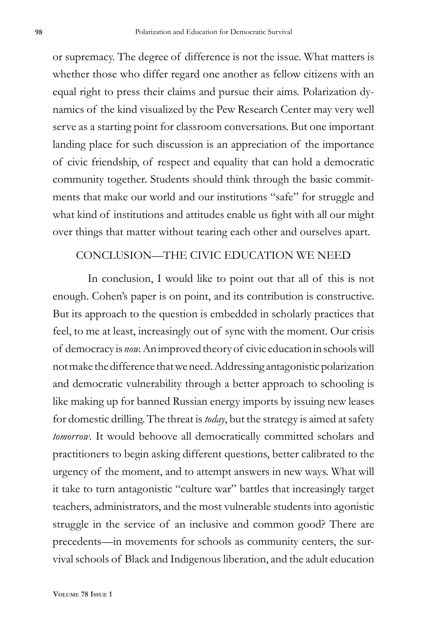or supremacy. The degree of difference is not the issue. What matters is whether those who differ regard one another as fellow citizens with an equal right to press their claims and pursue their aims. Polarization dynamics of the kind visualized by the Pew Research Center may very well serve as a starting point for classroom conversations. But one important landing place for such discussion is an appreciation of the importance of civic friendship, of respect and equality that can hold a democratic community together. Students should think through the basic commitments that make our world and our institutions "safe" for struggle and what kind of institutions and attitudes enable us fight with all our might over things that matter without tearing each other and ourselves apart.

## CONCLUSION—THE CIVIC EDUCATION WE NEED

In conclusion, I would like to point out that all of this is not enough. Cohen's paper is on point, and its contribution is constructive. But its approach to the question is embedded in scholarly practices that feel, to me at least, increasingly out of sync with the moment. Our crisis of democracy is *now.* An improved theory of civic education in schools will not make the difference that we need. Addressing antagonistic polarization and democratic vulnerability through a better approach to schooling is like making up for banned Russian energy imports by issuing new leases for domestic drilling. The threat is *today*, but the strategy is aimed at safety *tomorrow*. It would behoove all democratically committed scholars and practitioners to begin asking different questions, better calibrated to the urgency of the moment, and to attempt answers in new ways. What will it take to turn antagonistic "culture war" battles that increasingly target teachers, administrators, and the most vulnerable students into agonistic struggle in the service of an inclusive and common good? There are precedents—in movements for schools as community centers, the survival schools of Black and Indigenous liberation, and the adult education